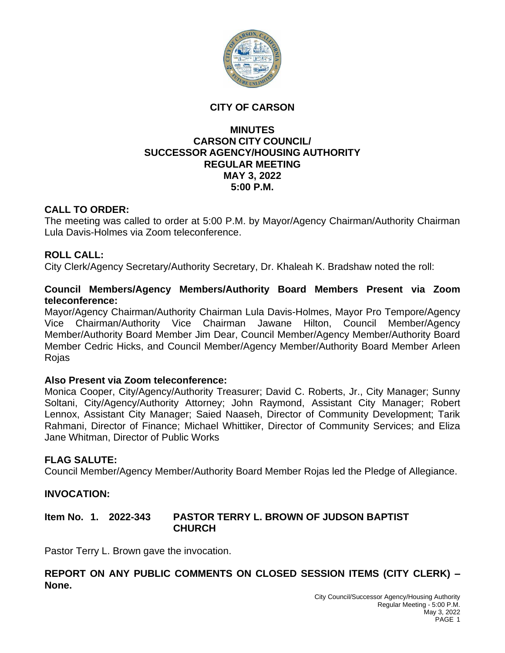

#### **CITY OF CARSON**

#### **MINUTES CARSON CITY COUNCIL/ SUCCESSOR AGENCY/HOUSING AUTHORITY REGULAR MEETING MAY 3, 2022 5:00 P.M.**

## **CALL TO ORDER:**

The meeting was called to order at 5:00 P.M. by Mayor/Agency Chairman/Authority Chairman Lula Davis-Holmes via Zoom teleconference.

## **ROLL CALL:**

City Clerk/Agency Secretary/Authority Secretary, Dr. Khaleah K. Bradshaw noted the roll:

#### **Council Members/Agency Members/Authority Board Members Present via Zoom teleconference:**

Mayor/Agency Chairman/Authority Chairman Lula Davis-Holmes, Mayor Pro Tempore/Agency Vice Chairman/Authority Vice Chairman Jawane Hilton, Council Member/Agency Member/Authority Board Member Jim Dear, Council Member/Agency Member/Authority Board Member Cedric Hicks, and Council Member/Agency Member/Authority Board Member Arleen Rojas

#### **Also Present via Zoom teleconference:**

Monica Cooper, City/Agency/Authority Treasurer; David C. Roberts, Jr., City Manager; Sunny Soltani, City/Agency/Authority Attorney; John Raymond, Assistant City Manager; Robert Lennox, Assistant City Manager; Saied Naaseh, Director of Community Development; Tarik Rahmani, Director of Finance; Michael Whittiker, Director of Community Services; and Eliza Jane Whitman, Director of Public Works

#### **FLAG SALUTE:**

Council Member/Agency Member/Authority Board Member Rojas led the Pledge of Allegiance.

#### **INVOCATION:**

## **Item No. 1. 2022-343 PASTOR TERRY L. BROWN OF JUDSON BAPTIST CHURCH**

Pastor Terry L. Brown gave the invocation.

## **REPORT ON ANY PUBLIC COMMENTS ON CLOSED SESSION ITEMS (CITY CLERK) – None.**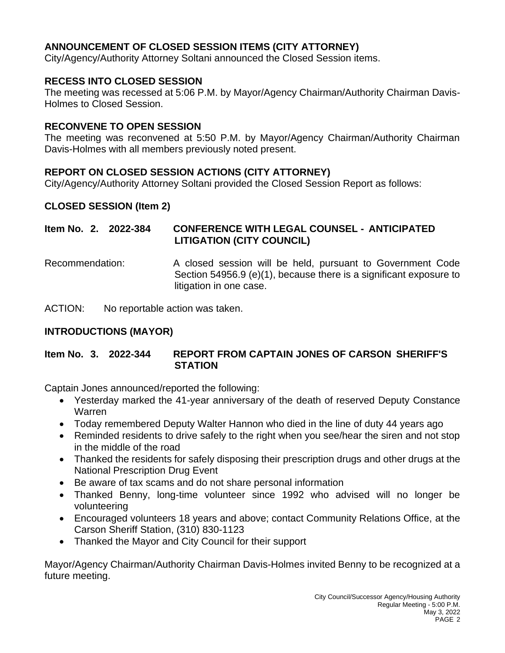# **ANNOUNCEMENT OF CLOSED SESSION ITEMS (CITY ATTORNEY)**

City/Agency/Authority Attorney Soltani announced the Closed Session items.

## **RECESS INTO CLOSED SESSION**

The meeting was recessed at 5:06 P.M. by Mayor/Agency Chairman/Authority Chairman Davis-Holmes to Closed Session.

### **RECONVENE TO OPEN SESSION**

The meeting was reconvened at 5:50 P.M. by Mayor/Agency Chairman/Authority Chairman Davis-Holmes with all members previously noted present.

## **REPORT ON CLOSED SESSION ACTIONS (CITY ATTORNEY)**

City/Agency/Authority Attorney Soltani provided the Closed Session Report as follows:

## **CLOSED SESSION (Item 2)**

## **Item No. 2. 2022-384 CONFERENCE WITH LEGAL COUNSEL - ANTICIPATED LITIGATION (CITY COUNCIL)**

Recommendation: A closed session will be held, pursuant to Government Code Section 54956.9 (e)(1), because there is a significant exposure to litigation in one case.

ACTION: No reportable action was taken.

## **INTRODUCTIONS (MAYOR)**

**Item No. 3. 2022-344 REPORT FROM CAPTAIN JONES OF CARSON SHERIFF'S STATION**

Captain Jones announced/reported the following:

- Yesterday marked the 41-year anniversary of the death of reserved Deputy Constance Warren
- Today remembered Deputy Walter Hannon who died in the line of duty 44 years ago
- Reminded residents to drive safely to the right when you see/hear the siren and not stop in the middle of the road
- Thanked the residents for safely disposing their prescription drugs and other drugs at the National Prescription Drug Event
- Be aware of tax scams and do not share personal information
- Thanked Benny, long-time volunteer since 1992 who advised will no longer be volunteering
- Encouraged volunteers 18 years and above; contact Community Relations Office, at the Carson Sheriff Station, (310) 830-1123
- Thanked the Mayor and City Council for their support

Mayor/Agency Chairman/Authority Chairman Davis-Holmes invited Benny to be recognized at a future meeting.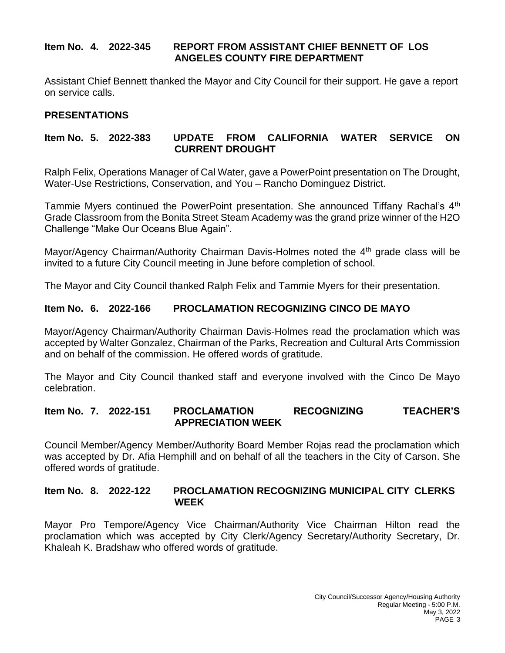## **Item No. 4. 2022-345 REPORT FROM ASSISTANT CHIEF BENNETT OF LOS ANGELES COUNTY FIRE DEPARTMENT**

Assistant Chief Bennett thanked the Mayor and City Council for their support. He gave a report on service calls.

## **PRESENTATIONS**

## **Item No. 5. 2022-383 UPDATE FROM CALIFORNIA WATER SERVICE ON CURRENT DROUGHT**

Ralph Felix, Operations Manager of Cal Water, gave a PowerPoint presentation on The Drought, Water-Use Restrictions, Conservation, and You – Rancho Dominguez District.

Tammie Myers continued the PowerPoint presentation. She announced Tiffany Rachal's 4<sup>th</sup> Grade Classroom from the Bonita Street Steam Academy was the grand prize winner of the H2O Challenge "Make Our Oceans Blue Again".

Mayor/Agency Chairman/Authority Chairman Davis-Holmes noted the  $4<sup>th</sup>$  grade class will be invited to a future City Council meeting in June before completion of school.

The Mayor and City Council thanked Ralph Felix and Tammie Myers for their presentation.

## **Item No. 6. 2022-166 PROCLAMATION RECOGNIZING CINCO DE MAYO**

Mayor/Agency Chairman/Authority Chairman Davis-Holmes read the proclamation which was accepted by Walter Gonzalez, Chairman of the Parks, Recreation and Cultural Arts Commission and on behalf of the commission. He offered words of gratitude.

The Mayor and City Council thanked staff and everyone involved with the Cinco De Mayo celebration.

#### **Item No. 7. 2022-151 PROCLAMATION RECOGNIZING TEACHER'S APPRECIATION WEEK**

Council Member/Agency Member/Authority Board Member Rojas read the proclamation which was accepted by Dr. Afia Hemphill and on behalf of all the teachers in the City of Carson. She offered words of gratitude.

## **Item No. 8. 2022-122 PROCLAMATION RECOGNIZING MUNICIPAL CITY CLERKS WEEK**

Mayor Pro Tempore/Agency Vice Chairman/Authority Vice Chairman Hilton read the proclamation which was accepted by City Clerk/Agency Secretary/Authority Secretary, Dr. Khaleah K. Bradshaw who offered words of gratitude.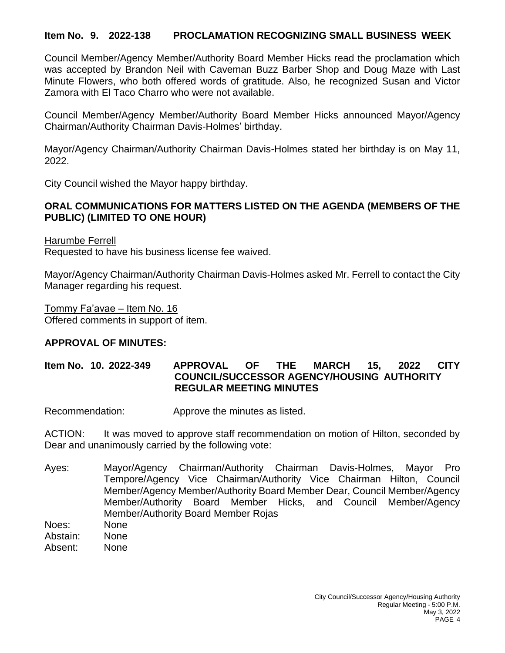## **Item No. 9. 2022-138 PROCLAMATION RECOGNIZING SMALL BUSINESS WEEK**

Council Member/Agency Member/Authority Board Member Hicks read the proclamation which was accepted by Brandon Neil with Caveman Buzz Barber Shop and Doug Maze with Last Minute Flowers, who both offered words of gratitude. Also, he recognized Susan and Victor Zamora with El Taco Charro who were not available.

Council Member/Agency Member/Authority Board Member Hicks announced Mayor/Agency Chairman/Authority Chairman Davis-Holmes' birthday.

Mayor/Agency Chairman/Authority Chairman Davis-Holmes stated her birthday is on May 11, 2022.

City Council wished the Mayor happy birthday.

#### **ORAL COMMUNICATIONS FOR MATTERS LISTED ON THE AGENDA (MEMBERS OF THE PUBLIC) (LIMITED TO ONE HOUR)**

Harumbe Ferrell Requested to have his business license fee waived.

Mayor/Agency Chairman/Authority Chairman Davis-Holmes asked Mr. Ferrell to contact the City Manager regarding his request.

Tommy Fa'avae – Item No. 16 Offered comments in support of item.

#### **APPROVAL OF MINUTES:**

## **Item No. 10. 2022-349 APPROVAL OF THE MARCH 15, 2022 CITY COUNCIL/SUCCESSOR AGENCY/HOUSING AUTHORITY REGULAR MEETING MINUTES**

Recommendation: Approve the minutes as listed.

ACTION: It was moved to approve staff recommendation on motion of Hilton, seconded by Dear and unanimously carried by the following vote:

- Ayes: Mayor/Agency Chairman/Authority Chairman Davis-Holmes, Mayor Pro Tempore/Agency Vice Chairman/Authority Vice Chairman Hilton, Council Member/Agency Member/Authority Board Member Dear, Council Member/Agency Member/Authority Board Member Hicks, and Council Member/Agency Member/Authority Board Member Rojas Noes: None
- Abstain: None
- Absent: None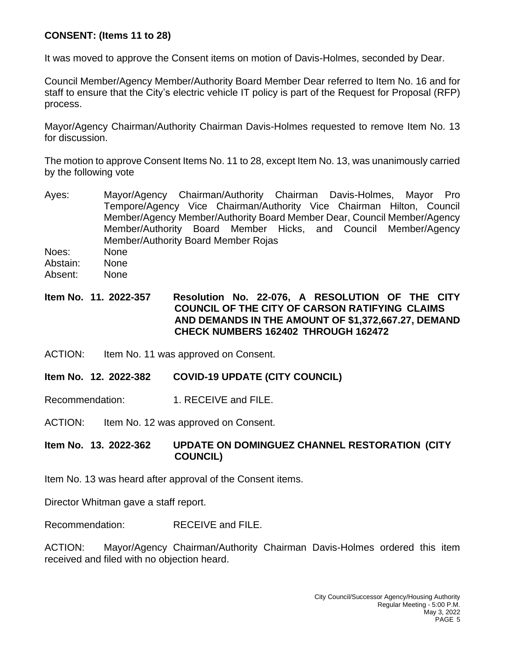# **CONSENT: (Items 11 to 28)**

It was moved to approve the Consent items on motion of Davis-Holmes, seconded by Dear.

Council Member/Agency Member/Authority Board Member Dear referred to Item No. 16 and for staff to ensure that the City's electric vehicle IT policy is part of the Request for Proposal (RFP) process.

Mayor/Agency Chairman/Authority Chairman Davis-Holmes requested to remove Item No. 13 for discussion.

The motion to approve Consent Items No. 11 to 28, except Item No. 13, was unanimously carried by the following vote

- Ayes: Mayor/Agency Chairman/Authority Chairman Davis-Holmes, Mayor Pro Tempore/Agency Vice Chairman/Authority Vice Chairman Hilton, Council Member/Agency Member/Authority Board Member Dear, Council Member/Agency Member/Authority Board Member Hicks, and Council Member/Agency Member/Authority Board Member Rojas
- Noes: None
- Abstain: None
- Absent: None

## **Item No. 11. 2022-357 Resolution No. 22-076, A RESOLUTION OF THE CITY COUNCIL OF THE CITY OF CARSON RATIFYING CLAIMS AND DEMANDS IN THE AMOUNT OF \$1,372,667.27, DEMAND CHECK NUMBERS 162402 THROUGH 162472**

- ACTION: Item No. 11 was approved on Consent.
- **Item No. 12. 2022-382 COVID-19 UPDATE (CITY COUNCIL)**

Recommendation: 1. RECEIVE and FILE.

ACTION: Item No. 12 was approved on Consent.

## **Item No. 13. 2022-362 UPDATE ON DOMINGUEZ CHANNEL RESTORATION (CITY COUNCIL)**

Item No. 13 was heard after approval of the Consent items.

Director Whitman gave a staff report.

Recommendation: RECEIVE and FILE.

ACTION: Mayor/Agency Chairman/Authority Chairman Davis-Holmes ordered this item received and filed with no objection heard.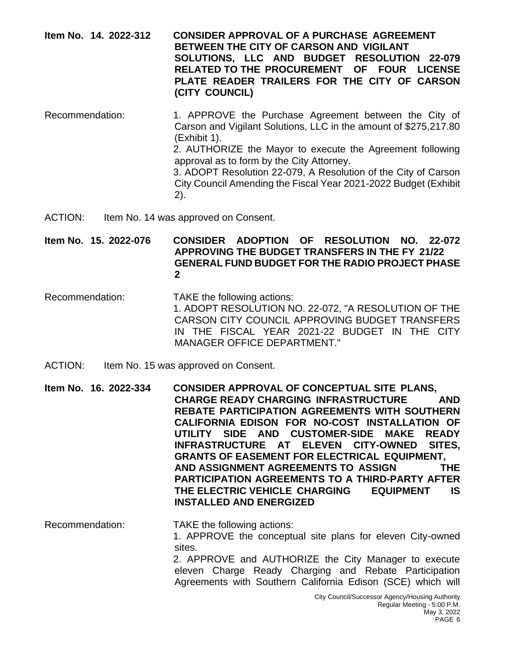#### **Item No. 14. 2022-312 CONSIDER APPROVAL OF A PURCHASE AGREEMENT BETWEEN THE CITY OF CARSON AND VIGILANT SOLUTIONS, LLC AND BUDGET RESOLUTION 22-079 RELATED TO THE PROCUREMENT OF FOUR LICENSE PLATE READER TRAILERS FOR THE CITY OF CARSON (CITY COUNCIL)**

- Recommendation: 1. APPROVE the Purchase Agreement between the City of Carson and Vigilant Solutions, LLC in the amount of \$275,217.80 (Exhibit 1). 2. AUTHORIZE the Mayor to execute the Agreement following approval as to form by the City Attorney. 3. ADOPT Resolution 22-079, A Resolution of the City of Carson City Council Amending the Fiscal Year 2021-2022 Budget (Exhibit 2).
- ACTION: Item No. 14 was approved on Consent.

**Item No. 15. 2022-076 CONSIDER ADOPTION OF RESOLUTION NO. 22-072 APPROVING THE BUDGET TRANSFERS IN THE FY 21/22 GENERAL FUND BUDGET FOR THE RADIO PROJECT PHASE 2**

- Recommendation: TAKE the following actions: 1. ADOPT RESOLUTION NO. 22-072, "A RESOLUTION OF THE CARSON CITY COUNCIL APPROVING BUDGET TRANSFERS IN THE FISCAL YEAR 2021-22 BUDGET IN THE CITY MANAGER OFFICE DEPARTMENT."
- ACTION: Item No. 15 was approved on Consent.

**Item No. 16. 2022-334 CONSIDER APPROVAL OF CONCEPTUAL SITE PLANS, CHARGE READY CHARGING INFRASTRUCTURE AND REBATE PARTICIPATION AGREEMENTS WITH SOUTHERN CALIFORNIA EDISON FOR NO-COST INSTALLATION OF UTILITY SIDE AND CUSTOMER-SIDE MAKE READY INFRASTRUCTURE AT ELEVEN CITY-OWNED SITES, GRANTS OF EASEMENT FOR ELECTRICAL EQUIPMENT, AND ASSIGNMENT AGREEMENTS TO ASSIGN THE PARTICIPATION AGREEMENTS TO A THIRD-PARTY AFTER THE ELECTRIC VEHICLE CHARGING EQUIPMENT IS INSTALLED AND ENERGIZED**

Recommendation: TAKE the following actions: 1. APPROVE the conceptual site plans for eleven City-owned sites. 2. APPROVE and AUTHORIZE the City Manager to execute eleven Charge Ready Charging and Rebate Participation Agreements with Southern California Edison (SCE) which will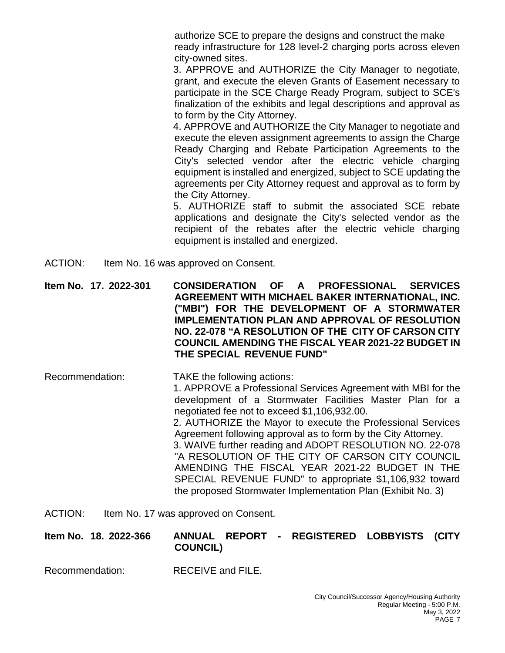authorize SCE to prepare the designs and construct the make ready infrastructure for 128 level-2 charging ports across eleven city-owned sites.

3. APPROVE and AUTHORIZE the City Manager to negotiate, grant, and execute the eleven Grants of Easement necessary to participate in the SCE Charge Ready Program, subject to SCE's finalization of the exhibits and legal descriptions and approval as to form by the City Attorney.

4. APPROVE and AUTHORIZE the City Manager to negotiate and execute the eleven assignment agreements to assign the Charge Ready Charging and Rebate Participation Agreements to the City's selected vendor after the electric vehicle charging equipment is installed and energized, subject to SCE updating the agreements per City Attorney request and approval as to form by the City Attorney.

5. AUTHORIZE staff to submit the associated SCE rebate applications and designate the City's selected vendor as the recipient of the rebates after the electric vehicle charging equipment is installed and energized.

ACTION: Item No. 16 was approved on Consent.

**Item No. 17. 2022-301 CONSIDERATION OF A PROFESSIONAL SERVICES AGREEMENT WITH MICHAEL BAKER INTERNATIONAL, INC. ("MBI") FOR THE DEVELOPMENT OF A STORMWATER IMPLEMENTATION PLAN AND APPROVAL OF RESOLUTION NO. 22-078 "A RESOLUTION OF THE CITY OF CARSON CITY COUNCIL AMENDING THE FISCAL YEAR 2021-22 BUDGET IN THE SPECIAL REVENUE FUND"**

- Recommendation: TAKE the following actions: 1. APPROVE a Professional Services Agreement with MBI for the development of a Stormwater Facilities Master Plan for a negotiated fee not to exceed \$1,106,932.00. 2. AUTHORIZE the Mayor to execute the Professional Services Agreement following approval as to form by the City Attorney. 3. WAIVE further reading and ADOPT RESOLUTION NO. 22-078 "A RESOLUTION OF THE CITY OF CARSON CITY COUNCIL AMENDING THE FISCAL YEAR 2021-22 BUDGET IN THE SPECIAL REVENUE FUND" to appropriate \$1,106,932 toward the proposed Stormwater Implementation Plan (Exhibit No. 3)
- ACTION: Item No. 17 was approved on Consent.

#### **Item No. 18. 2022-366 ANNUAL REPORT - REGISTERED LOBBYISTS (CITY COUNCIL)**

Recommendation: RECEIVE and FILE.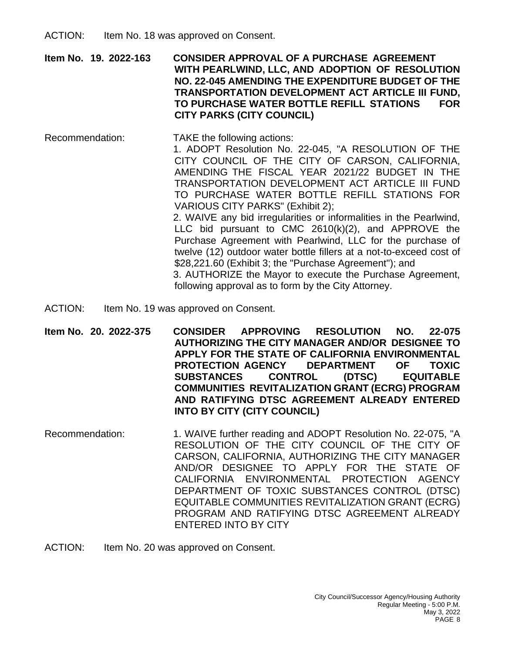**Item No. 19. 2022-163 CONSIDER APPROVAL OF A PURCHASE AGREEMENT WITH PEARLWIND, LLC, AND ADOPTION OF RESOLUTION NO. 22-045 AMENDING THE EXPENDITURE BUDGET OF THE TRANSPORTATION DEVELOPMENT ACT ARTICLE III FUND, TO PURCHASE WATER BOTTLE REFILL STATIONS FOR CITY PARKS (CITY COUNCIL)**

Recommendation: TAKE the following actions: 1. ADOPT Resolution No. 22-045, "A RESOLUTION OF THE CITY COUNCIL OF THE CITY OF CARSON, CALIFORNIA, AMENDING THE FISCAL YEAR 2021/22 BUDGET IN THE TRANSPORTATION DEVELOPMENT ACT ARTICLE III FUND TO PURCHASE WATER BOTTLE REFILL STATIONS FOR VARIOUS CITY PARKS" (Exhibit 2); 2. WAIVE any bid irregularities or informalities in the Pearlwind, LLC bid pursuant to CMC 2610(k)(2), and APPROVE the Purchase Agreement with Pearlwind, LLC for the purchase of twelve (12) outdoor water bottle fillers at a not-to-exceed cost of \$28,221.60 (Exhibit 3; the "Purchase Agreement"); and 3. AUTHORIZE the Mayor to execute the Purchase Agreement,

following approval as to form by the City Attorney.

- ACTION: Item No. 19 was approved on Consent.
- **Item No. 20. 2022-375 CONSIDER APPROVING RESOLUTION NO. 22-075 AUTHORIZING THE CITY MANAGER AND/OR DESIGNEE TO APPLY FOR THE STATE OF CALIFORNIA ENVIRONMENTAL PROTECTION AGENCY DEPARTMENT OF TOXIC SUBSTANCES CONTROL (DTSC) EQUITABLE COMMUNITIES REVITALIZATION GRANT (ECRG) PROGRAM AND RATIFYING DTSC AGREEMENT ALREADY ENTERED INTO BY CITY (CITY COUNCIL)**
- Recommendation: 1. WAIVE further reading and ADOPT Resolution No. 22-075, "A RESOLUTION OF THE CITY COUNCIL OF THE CITY OF CARSON, CALIFORNIA, AUTHORIZING THE CITY MANAGER AND/OR DESIGNEE TO APPLY FOR THE STATE OF CALIFORNIA ENVIRONMENTAL PROTECTION AGENCY DEPARTMENT OF TOXIC SUBSTANCES CONTROL (DTSC) EQUITABLE COMMUNITIES REVITALIZATION GRANT (ECRG) PROGRAM AND RATIFYING DTSC AGREEMENT ALREADY ENTERED INTO BY CITY
- ACTION: Item No. 20 was approved on Consent.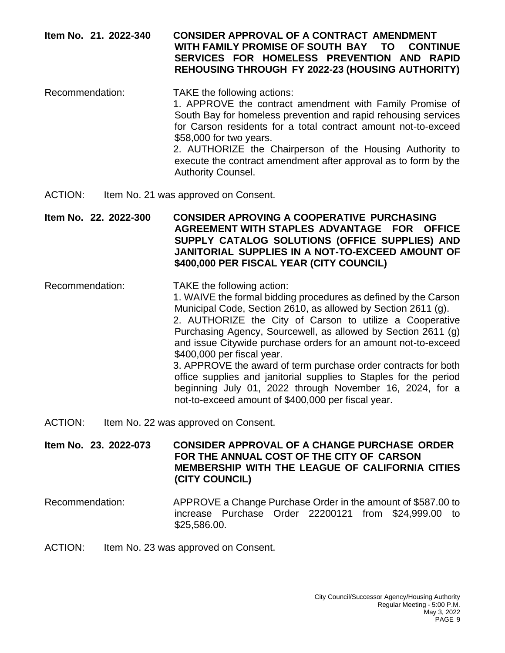## **Item No. 21. 2022-340 CONSIDER APPROVAL OF A CONTRACT AMENDMENT WITH FAMILY PROMISE OF SOUTH BAY TO CONTINUE SERVICES FOR HOMELESS PREVENTION AND RAPID REHOUSING THROUGH FY 2022-23 (HOUSING AUTHORITY)**

Recommendation: TAKE the following actions: 1. APPROVE the contract amendment with Family Promise of South Bay for homeless prevention and rapid rehousing services for Carson residents for a total contract amount not-to-exceed \$58,000 for two years. 2. AUTHORIZE the Chairperson of the Housing Authority to execute the contract amendment after approval as to form by the Authority Counsel.

ACTION: Item No. 21 was approved on Consent.

**Item No. 22. 2022-300 CONSIDER APROVING A COOPERATIVE PURCHASING AGREEMENT WITH STAPLES ADVANTAGE FOR OFFICE SUPPLY CATALOG SOLUTIONS (OFFICE SUPPLIES) AND JANITORIAL SUPPLIES IN A NOT-TO-EXCEED AMOUNT OF \$400,000 PER FISCAL YEAR (CITY COUNCIL)**

Recommendation: TAKE the following action:

1. WAIVE the formal bidding procedures as defined by the Carson Municipal Code, Section 2610, as allowed by Section 2611 (g). 2. AUTHORIZE the City of Carson to utilize a Cooperative Purchasing Agency, Sourcewell, as allowed by Section 2611 (g) and issue Citywide purchase orders for an amount not-to-exceed \$400,000 per fiscal year.

3. APPROVE the award of term purchase order contracts for both office supplies and janitorial supplies to Staples for the period beginning July 01, 2022 through November 16, 2024, for a not-to-exceed amount of \$400,000 per fiscal year.

ACTION: Item No. 22 was approved on Consent.

**Item No. 23. 2022-073 CONSIDER APPROVAL OF A CHANGE PURCHASE ORDER FOR THE ANNUAL COST OF THE CITY OF CARSON MEMBERSHIP WITH THE LEAGUE OF CALIFORNIA CITIES (CITY COUNCIL)**

- Recommendation: APPROVE a Change Purchase Order in the amount of \$587.00 to increase Purchase Order 22200121 from \$24,999.00 to \$25,586.00.
- ACTION: Item No. 23 was approved on Consent.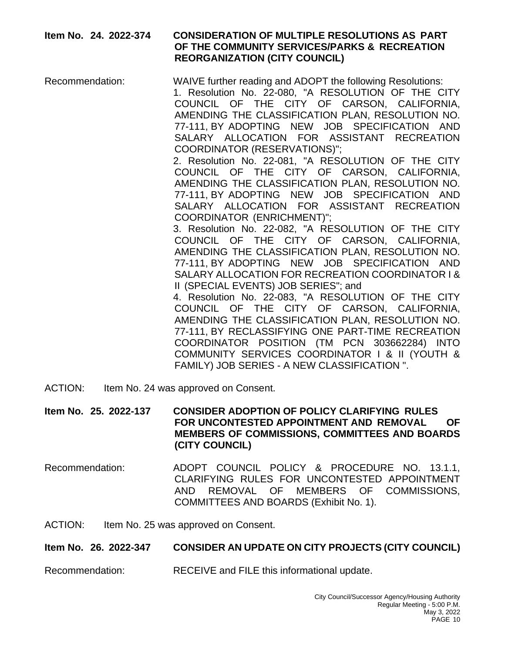## **Item No. 24. 2022-374 CONSIDERATION OF MULTIPLE RESOLUTIONS AS PART OF THE COMMUNITY SERVICES/PARKS & RECREATION REORGANIZATION (CITY COUNCIL)**

Recommendation: WAIVE further reading and ADOPT the following Resolutions: 1. Resolution No. 22-080, "A RESOLUTION OF THE CITY COUNCIL OF THE CITY OF CARSON, CALIFORNIA, AMENDING THE CLASSIFICATION PLAN, RESOLUTION NO. 77-111, BY ADOPTING NEW JOB SPECIFICATION AND SALARY ALLOCATION FOR ASSISTANT RECREATION COORDINATOR (RESERVATIONS)"; 2. Resolution No. 22-081, "A RESOLUTION OF THE CITY COUNCIL OF THE CITY OF CARSON, CALIFORNIA, AMENDING THE CLASSIFICATION PLAN, RESOLUTION NO. 77-111, BY ADOPTING NEW JOB SPECIFICATION AND SALARY ALLOCATION FOR ASSISTANT RECREATION COORDINATOR (ENRICHMENT)"; 3. Resolution No. 22-082, "A RESOLUTION OF THE CITY COUNCIL OF THE CITY OF CARSON, CALIFORNIA, AMENDING THE CLASSIFICATION PLAN, RESOLUTION NO. 77-111, BY ADOPTING NEW JOB SPECIFICATION AND SALARY ALLOCATION FOR RECREATION COORDINATOR I & II (SPECIAL EVENTS) JOB SERIES"; and 4. Resolution No. 22-083, "A RESOLUTION OF THE CITY COUNCIL OF THE CITY OF CARSON, CALIFORNIA, AMENDING THE CLASSIFICATION PLAN, RESOLUTION NO.

77-111, BY RECLASSIFYING ONE PART-TIME RECREATION COORDINATOR POSITION (TM PCN 303662284) INTO COMMUNITY SERVICES COORDINATOR I & II (YOUTH & FAMILY) JOB SERIES - A NEW CLASSIFICATION ".

ACTION: Item No. 24 was approved on Consent.

**Item No. 25. 2022-137 CONSIDER ADOPTION OF POLICY CLARIFYING RULES FOR UNCONTESTED APPOINTMENT AND REMOVAL OF MEMBERS OF COMMISSIONS, COMMITTEES AND BOARDS (CITY COUNCIL)**

Recommendation: ADOPT COUNCIL POLICY & PROCEDURE NO. 13.1.1, CLARIFYING RULES FOR UNCONTESTED APPOINTMENT AND REMOVAL OF MEMBERS OF COMMISSIONS, COMMITTEES AND BOARDS (Exhibit No. 1).

ACTION: Item No. 25 was approved on Consent.

#### **Item No. 26. 2022-347 CONSIDER AN UPDATE ON CITY PROJECTS (CITY COUNCIL)**

Recommendation: RECEIVE and FILE this informational update.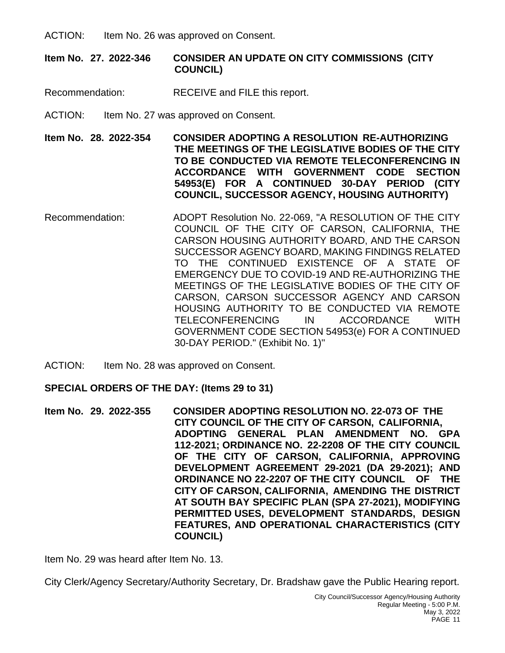ACTION: Item No. 26 was approved on Consent.

## **Item No. 27. 2022-346 CONSIDER AN UPDATE ON CITY COMMISSIONS (CITY COUNCIL)**

- Recommendation: RECEIVE and FILE this report.
- ACTION: Item No. 27 was approved on Consent.

**Item No. 28. 2022-354 CONSIDER ADOPTING A RESOLUTION RE-AUTHORIZING THE MEETINGS OF THE LEGISLATIVE BODIES OF THE CITY TO BE CONDUCTED VIA REMOTE TELECONFERENCING IN ACCORDANCE WITH GOVERNMENT CODE SECTION 54953(E) FOR A CONTINUED 30-DAY PERIOD (CITY COUNCIL, SUCCESSOR AGENCY, HOUSING AUTHORITY)**

- Recommendation: ADOPT Resolution No. 22-069, "A RESOLUTION OF THE CITY COUNCIL OF THE CITY OF CARSON, CALIFORNIA, THE CARSON HOUSING AUTHORITY BOARD, AND THE CARSON SUCCESSOR AGENCY BOARD, MAKING FINDINGS RELATED TO THE CONTINUED EXISTENCE OF A STATE OF EMERGENCY DUE TO COVID-19 AND RE-AUTHORIZING THE MEETINGS OF THE LEGISLATIVE BODIES OF THE CITY OF CARSON, CARSON SUCCESSOR AGENCY AND CARSON HOUSING AUTHORITY TO BE CONDUCTED VIA REMOTE TELECONFERENCING IN ACCORDANCE WITH GOVERNMENT CODE SECTION 54953(e) FOR A CONTINUED 30-DAY PERIOD." (Exhibit No. 1)''
- ACTION: Item No. 28 was approved on Consent.

#### **SPECIAL ORDERS OF THE DAY: (Items 29 to 31)**

**Item No. 29. 2022-355 CONSIDER ADOPTING RESOLUTION NO. 22-073 OF THE CITY COUNCIL OF THE CITY OF CARSON, CALIFORNIA, ADOPTING GENERAL PLAN AMENDMENT NO. GPA 112-2021; ORDINANCE NO. 22-2208 OF THE CITY COUNCIL OF THE CITY OF CARSON, CALIFORNIA, APPROVING DEVELOPMENT AGREEMENT 29-2021 (DA 29-2021); AND ORDINANCE NO 22-2207 OF THE CITY COUNCIL OF THE CITY OF CARSON, CALIFORNIA, AMENDING THE DISTRICT AT SOUTH BAY SPECIFIC PLAN (SPA 27-2021), MODIFYING PERMITTED USES, DEVELOPMENT STANDARDS, DESIGN FEATURES, AND OPERATIONAL CHARACTERISTICS (CITY COUNCIL)**

Item No. 29 was heard after Item No. 13.

City Clerk/Agency Secretary/Authority Secretary, Dr. Bradshaw gave the Public Hearing report.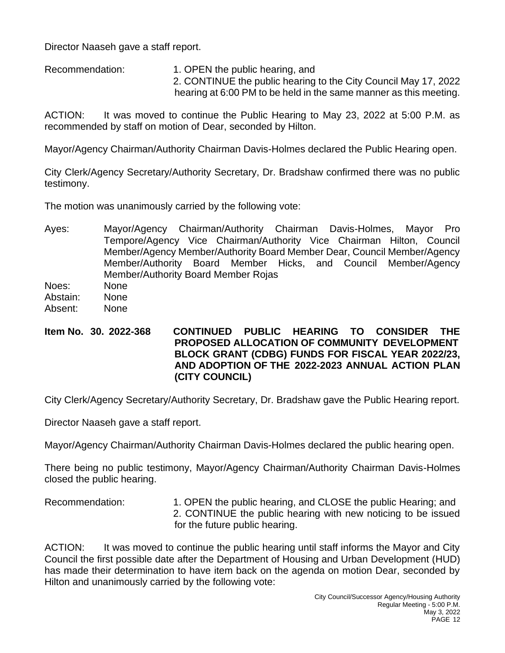Director Naaseh gave a staff report.

Recommendation: 1. OPEN the public hearing, and 2. CONTINUE the public hearing to the City Council May 17, 2022 hearing at 6:00 PM to be held in the same manner as this meeting.

ACTION: It was moved to continue the Public Hearing to May 23, 2022 at 5:00 P.M. as recommended by staff on motion of Dear, seconded by Hilton.

Mayor/Agency Chairman/Authority Chairman Davis-Holmes declared the Public Hearing open.

City Clerk/Agency Secretary/Authority Secretary, Dr. Bradshaw confirmed there was no public testimony.

The motion was unanimously carried by the following vote:

Ayes: Mayor/Agency Chairman/Authority Chairman Davis-Holmes, Mayor Pro Tempore/Agency Vice Chairman/Authority Vice Chairman Hilton, Council Member/Agency Member/Authority Board Member Dear, Council Member/Agency Member/Authority Board Member Hicks, and Council Member/Agency Member/Authority Board Member Rojas

Noes: None

- Abstain: None
- Absent: None
- **Item No. 30. 2022-368 CONTINUED PUBLIC HEARING TO CONSIDER THE PROPOSED ALLOCATION OF COMMUNITY DEVELOPMENT BLOCK GRANT (CDBG) FUNDS FOR FISCAL YEAR 2022/23, AND ADOPTION OF THE 2022-2023 ANNUAL ACTION PLAN (CITY COUNCIL)**

City Clerk/Agency Secretary/Authority Secretary, Dr. Bradshaw gave the Public Hearing report.

Director Naaseh gave a staff report.

Mayor/Agency Chairman/Authority Chairman Davis-Holmes declared the public hearing open.

There being no public testimony, Mayor/Agency Chairman/Authority Chairman Davis-Holmes closed the public hearing.

Recommendation: 1. OPEN the public hearing, and CLOSE the public Hearing; and 2. CONTINUE the public hearing with new noticing to be issued for the future public hearing.

ACTION: It was moved to continue the public hearing until staff informs the Mayor and City Council the first possible date after the Department of Housing and Urban Development (HUD) has made their determination to have item back on the agenda on motion Dear, seconded by Hilton and unanimously carried by the following vote: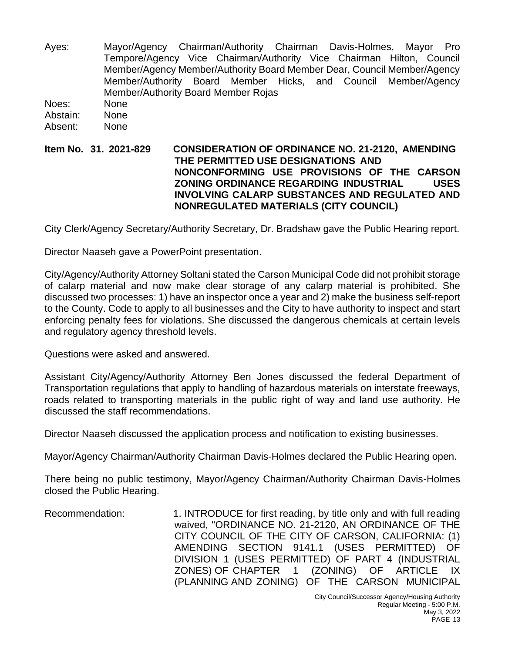Ayes: Mayor/Agency Chairman/Authority Chairman Davis-Holmes, Mayor Pro Tempore/Agency Vice Chairman/Authority Vice Chairman Hilton, Council Member/Agency Member/Authority Board Member Dear, Council Member/Agency Member/Authority Board Member Hicks, and Council Member/Agency Member/Authority Board Member Rojas Noes: None Abstain: None Absent: None

### **Item No. 31. 2021-829 CONSIDERATION OF ORDINANCE NO. 21-2120, AMENDING THE PERMITTED USE DESIGNATIONS AND NONCONFORMING USE PROVISIONS OF THE CARSON ZONING ORDINANCE REGARDING INDUSTRIAL USES INVOLVING CALARP SUBSTANCES AND REGULATED AND NONREGULATED MATERIALS (CITY COUNCIL)**

City Clerk/Agency Secretary/Authority Secretary, Dr. Bradshaw gave the Public Hearing report.

Director Naaseh gave a PowerPoint presentation.

City/Agency/Authority Attorney Soltani stated the Carson Municipal Code did not prohibit storage of calarp material and now make clear storage of any calarp material is prohibited. She discussed two processes: 1) have an inspector once a year and 2) make the business self-report to the County. Code to apply to all businesses and the City to have authority to inspect and start enforcing penalty fees for violations. She discussed the dangerous chemicals at certain levels and regulatory agency threshold levels.

Questions were asked and answered.

Assistant City/Agency/Authority Attorney Ben Jones discussed the federal Department of Transportation regulations that apply to handling of hazardous materials on interstate freeways, roads related to transporting materials in the public right of way and land use authority. He discussed the staff recommendations.

Director Naaseh discussed the application process and notification to existing businesses.

Mayor/Agency Chairman/Authority Chairman Davis-Holmes declared the Public Hearing open.

There being no public testimony, Mayor/Agency Chairman/Authority Chairman Davis-Holmes closed the Public Hearing.

Recommendation: 1. INTRODUCE for first reading, by title only and with full reading waived, "ORDINANCE NO. 21-2120, AN ORDINANCE OF THE CITY COUNCIL OF THE CITY OF CARSON, CALIFORNIA: (1) AMENDING SECTION 9141.1 (USES PERMITTED) OF DIVISION 1 (USES PERMITTED) OF PART 4 (INDUSTRIAL ZONES) OF CHAPTER 1 (ZONING) OF ARTICLE IX (PLANNING AND ZONING) OF THE CARSON MUNICIPAL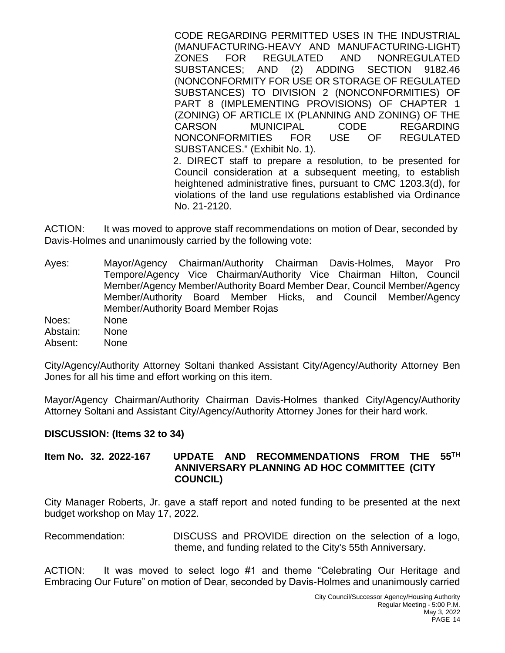CODE REGARDING PERMITTED USES IN THE INDUSTRIAL (MANUFACTURING-HEAVY AND MANUFACTURING-LIGHT) ZONES FOR REGULATED AND NONREGULATED SUBSTANCES; AND (2) ADDING SECTION 9182.46 (NONCONFORMITY FOR USE OR STORAGE OF REGULATED SUBSTANCES) TO DIVISION 2 (NONCONFORMITIES) OF PART 8 (IMPLEMENTING PROVISIONS) OF CHAPTER 1 (ZONING) OF ARTICLE IX (PLANNING AND ZONING) OF THE CARSON MUNICIPAL CODE REGARDING NONCONFORMITIES FOR USE OF REGULATED SUBSTANCES." (Exhibit No. 1). 2. DIRECT staff to prepare a resolution, to be presented for Council consideration at a subsequent meeting, to establish heightened administrative fines, pursuant to CMC 1203.3(d), for violations of the land use regulations established via Ordinance

ACTION: It was moved to approve staff recommendations on motion of Dear, seconded by Davis-Holmes and unanimously carried by the following vote:

No. 21-2120.

- Ayes: Mayor/Agency Chairman/Authority Chairman Davis-Holmes, Mayor Pro Tempore/Agency Vice Chairman/Authority Vice Chairman Hilton, Council Member/Agency Member/Authority Board Member Dear, Council Member/Agency Member/Authority Board Member Hicks, and Council Member/Agency Member/Authority Board Member Rojas Noes: None
- Abstain: None
- Absent: None

City/Agency/Authority Attorney Soltani thanked Assistant City/Agency/Authority Attorney Ben Jones for all his time and effort working on this item.

Mayor/Agency Chairman/Authority Chairman Davis-Holmes thanked City/Agency/Authority Attorney Soltani and Assistant City/Agency/Authority Attorney Jones for their hard work.

#### **DISCUSSION: (Items 32 to 34)**

#### **Item No. 32. 2022-167 UPDATE AND RECOMMENDATIONS FROM THE 55TH ANNIVERSARY PLANNING AD HOC COMMITTEE (CITY COUNCIL)**

City Manager Roberts, Jr. gave a staff report and noted funding to be presented at the next budget workshop on May 17, 2022.

Recommendation: DISCUSS and PROVIDE direction on the selection of a logo, theme, and funding related to the City's 55th Anniversary.

ACTION: It was moved to select logo #1 and theme "Celebrating Our Heritage and Embracing Our Future" on motion of Dear, seconded by Davis-Holmes and unanimously carried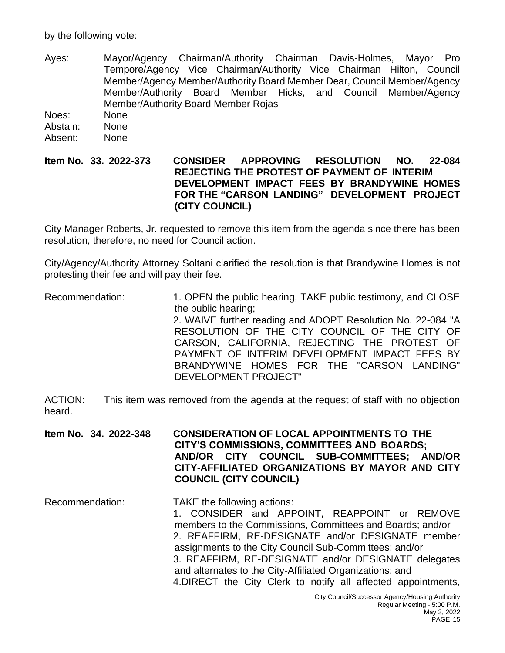by the following vote:

Ayes: Mayor/Agency Chairman/Authority Chairman Davis-Holmes, Mayor Pro Tempore/Agency Vice Chairman/Authority Vice Chairman Hilton, Council Member/Agency Member/Authority Board Member Dear, Council Member/Agency Member/Authority Board Member Hicks, and Council Member/Agency Member/Authority Board Member Rojas

Noes: None Abstain: None

Absent: None

#### **Item No. 33. 2022-373 CONSIDER APPROVING RESOLUTION NO. 22-084 REJECTING THE PROTEST OF PAYMENT OF INTERIM DEVELOPMENT IMPACT FEES BY BRANDYWINE HOMES FOR THE "CARSON LANDING" DEVELOPMENT PROJECT (CITY COUNCIL)**

City Manager Roberts, Jr. requested to remove this item from the agenda since there has been resolution, therefore, no need for Council action.

City/Agency/Authority Attorney Soltani clarified the resolution is that Brandywine Homes is not protesting their fee and will pay their fee.

Recommendation: 1. OPEN the public hearing, TAKE public testimony, and CLOSE the public hearing; 2. WAIVE further reading and ADOPT Resolution No. 22-084 "A RESOLUTION OF THE CITY COUNCIL OF THE CITY OF CARSON, CALIFORNIA, REJECTING THE PROTEST OF PAYMENT OF INTERIM DEVELOPMENT IMPACT FEES BY BRANDYWINE HOMES FOR THE "CARSON LANDING" DEVELOPMENT PROJECT"

ACTION: This item was removed from the agenda at the request of staff with no objection heard.

**Item No. 34. 2022-348 CONSIDERATION OF LOCAL APPOINTMENTS TO THE CITY'S COMMISSIONS, COMMITTEES AND BOARDS; AND/OR CITY COUNCIL SUB-COMMITTEES; AND/OR CITY-AFFILIATED ORGANIZATIONS BY MAYOR AND CITY COUNCIL (CITY COUNCIL)**

Recommendation: TAKE the following actions: 1. CONSIDER and APPOINT, REAPPOINT or REMOVE members to the Commissions, Committees and Boards; and/or 2. REAFFIRM, RE-DESIGNATE and/or DESIGNATE member assignments to the City Council Sub-Committees; and/or 3. REAFFIRM, RE-DESIGNATE and/or DESIGNATE delegates and alternates to the City-Affiliated Organizations; and 4.DIRECT the City Clerk to notify all affected appointments,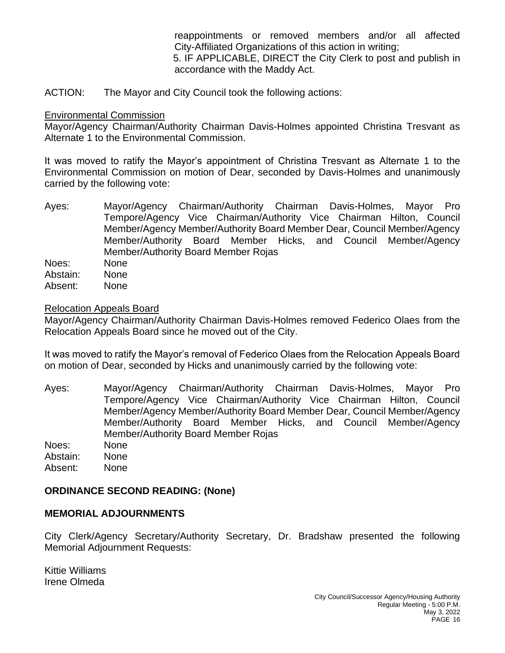reappointments or removed members and/or all affected City-Affiliated Organizations of this action in writing;

5. IF APPLICABLE, DIRECT the City Clerk to post and publish in accordance with the Maddy Act.

ACTION: The Mayor and City Council took the following actions:

#### Environmental Commission

Mayor/Agency Chairman/Authority Chairman Davis-Holmes appointed Christina Tresvant as Alternate 1 to the Environmental Commission.

It was moved to ratify the Mayor's appointment of Christina Tresvant as Alternate 1 to the Environmental Commission on motion of Dear, seconded by Davis-Holmes and unanimously carried by the following vote:

Ayes: Mayor/Agency Chairman/Authority Chairman Davis-Holmes, Mayor Pro Tempore/Agency Vice Chairman/Authority Vice Chairman Hilton, Council Member/Agency Member/Authority Board Member Dear, Council Member/Agency Member/Authority Board Member Hicks, and Council Member/Agency Member/Authority Board Member Rojas Noes: None Abstain: None Absent: None

#### Relocation Appeals Board

Mayor/Agency Chairman/Authority Chairman Davis-Holmes removed Federico Olaes from the Relocation Appeals Board since he moved out of the City.

It was moved to ratify the Mayor's removal of Federico Olaes from the Relocation Appeals Board on motion of Dear, seconded by Hicks and unanimously carried by the following vote:

Ayes: Mayor/Agency Chairman/Authority Chairman Davis-Holmes, Mayor Pro Tempore/Agency Vice Chairman/Authority Vice Chairman Hilton, Council Member/Agency Member/Authority Board Member Dear, Council Member/Agency Member/Authority Board Member Hicks, and Council Member/Agency Member/Authority Board Member Rojas Noes: None

Abstain: None

Absent: None

## **ORDINANCE SECOND READING: (None)**

## **MEMORIAL ADJOURNMENTS**

City Clerk/Agency Secretary/Authority Secretary, Dr. Bradshaw presented the following Memorial Adjournment Requests:

Kittie Williams Irene Olmeda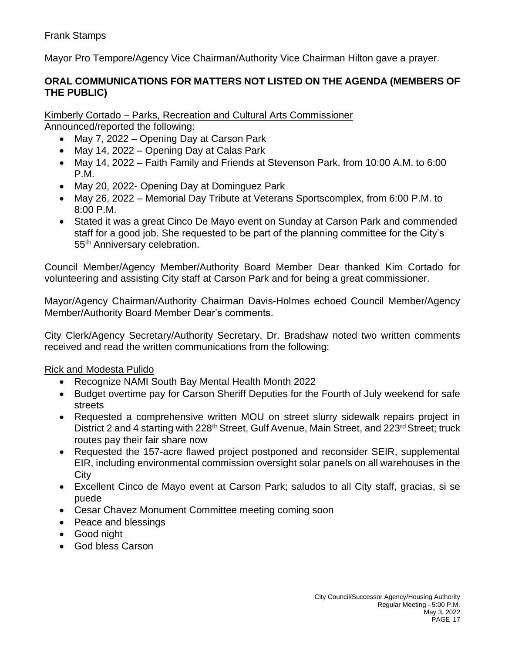Mayor Pro Tempore/Agency Vice Chairman/Authority Vice Chairman Hilton gave a prayer.

## **ORAL COMMUNICATIONS FOR MATTERS NOT LISTED ON THE AGENDA (MEMBERS OF THE PUBLIC)**

Kimberly Cortado – Parks, Recreation and Cultural Arts Commissioner

Announced/reported the following:

- May 7, 2022 Opening Day at Carson Park
- May 14, 2022 Opening Day at Calas Park
- May 14, 2022 Faith Family and Friends at Stevenson Park, from 10:00 A.M. to 6:00 P.M.
- May 20, 2022- Opening Day at Dominguez Park
- May 26, 2022 Memorial Day Tribute at Veterans Sportscomplex, from 6:00 P.M. to 8:00 P.M.
- Stated it was a great Cinco De Mayo event on Sunday at Carson Park and commended staff for a good job. She requested to be part of the planning committee for the City's 55<sup>th</sup> Anniversary celebration.

Council Member/Agency Member/Authority Board Member Dear thanked Kim Cortado for volunteering and assisting City staff at Carson Park and for being a great commissioner.

Mayor/Agency Chairman/Authority Chairman Davis-Holmes echoed Council Member/Agency Member/Authority Board Member Dear's comments.

City Clerk/Agency Secretary/Authority Secretary, Dr. Bradshaw noted two written comments received and read the written communications from the following:

## Rick and Modesta Pulido

- Recognize NAMI South Bay Mental Health Month 2022
- Budget overtime pay for Carson Sheriff Deputies for the Fourth of July weekend for safe streets
- Requested a comprehensive written MOU on street slurry sidewalk repairs project in District 2 and 4 starting with 228<sup>th</sup> Street, Gulf Avenue, Main Street, and 223<sup>rd</sup> Street; truck routes pay their fair share now
- Requested the 157-acre flawed project postponed and reconsider SEIR, supplemental EIR, including environmental commission oversight solar panels on all warehouses in the **City**
- Excellent Cinco de Mayo event at Carson Park; saludos to all City staff, gracias, si se puede
- Cesar Chavez Monument Committee meeting coming soon
- Peace and blessings
- Good night
- God bless Carson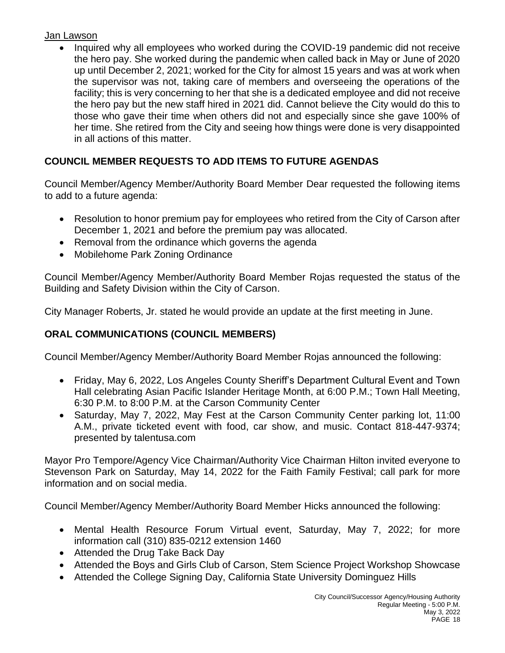## Jan Lawson

• Inquired why all employees who worked during the COVID-19 pandemic did not receive the hero pay. She worked during the pandemic when called back in May or June of 2020 up until December 2, 2021; worked for the City for almost 15 years and was at work when the supervisor was not, taking care of members and overseeing the operations of the facility; this is very concerning to her that she is a dedicated employee and did not receive the hero pay but the new staff hired in 2021 did. Cannot believe the City would do this to those who gave their time when others did not and especially since she gave 100% of her time. She retired from the City and seeing how things were done is very disappointed in all actions of this matter.

# **COUNCIL MEMBER REQUESTS TO ADD ITEMS TO FUTURE AGENDAS**

Council Member/Agency Member/Authority Board Member Dear requested the following items to add to a future agenda:

- Resolution to honor premium pay for employees who retired from the City of Carson after December 1, 2021 and before the premium pay was allocated.
- Removal from the ordinance which governs the agenda
- Mobilehome Park Zoning Ordinance

Council Member/Agency Member/Authority Board Member Rojas requested the status of the Building and Safety Division within the City of Carson.

City Manager Roberts, Jr. stated he would provide an update at the first meeting in June.

# **ORAL COMMUNICATIONS (COUNCIL MEMBERS)**

Council Member/Agency Member/Authority Board Member Rojas announced the following:

- Friday, May 6, 2022, Los Angeles County Sheriff's Department Cultural Event and Town Hall celebrating Asian Pacific Islander Heritage Month, at 6:00 P.M.; Town Hall Meeting, 6:30 P.M. to 8:00 P.M. at the Carson Community Center
- Saturday, May 7, 2022, May Fest at the Carson Community Center parking lot, 11:00 A.M., private ticketed event with food, car show, and music. Contact 818-447-9374; presented by talentusa.com

Mayor Pro Tempore/Agency Vice Chairman/Authority Vice Chairman Hilton invited everyone to Stevenson Park on Saturday, May 14, 2022 for the Faith Family Festival; call park for more information and on social media.

Council Member/Agency Member/Authority Board Member Hicks announced the following:

- Mental Health Resource Forum Virtual event, Saturday, May 7, 2022; for more information call (310) 835-0212 extension 1460
- Attended the Drug Take Back Day
- Attended the Boys and Girls Club of Carson, Stem Science Project Workshop Showcase
- Attended the College Signing Day, California State University Dominguez Hills